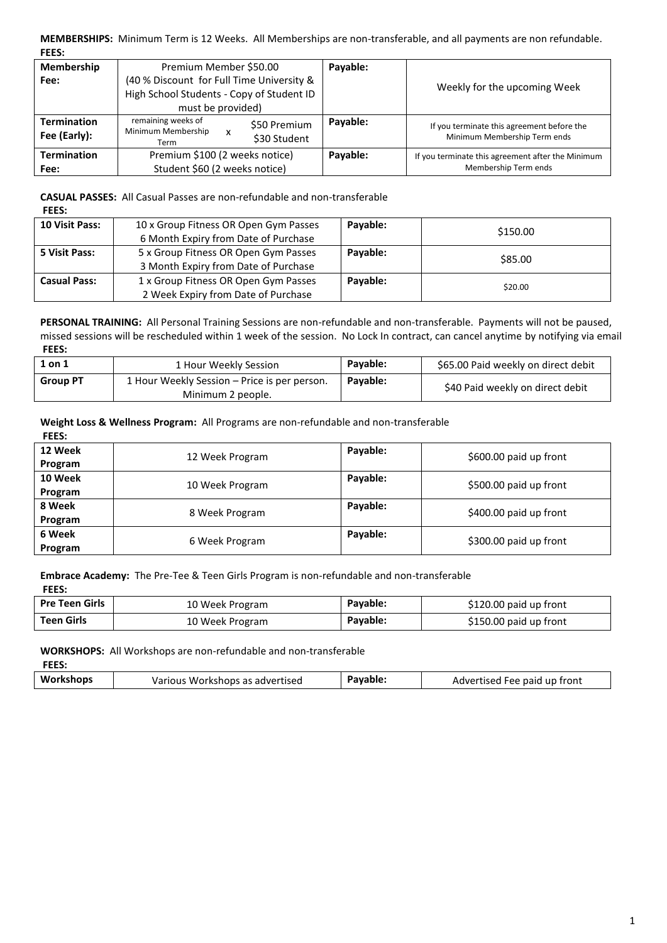**MEMBERSHIPS:** Minimum Term is 12 Weeks. All Memberships are non-transferable, and all payments are non refundable. **FEES:**

| Membership                         | Premium Member \$50.00                                                                                      | Payable: |                                                                            |
|------------------------------------|-------------------------------------------------------------------------------------------------------------|----------|----------------------------------------------------------------------------|
| Fee:                               | (40 % Discount for Full Time University &<br>High School Students - Copy of Student ID<br>must be provided) |          | Weekly for the upcoming Week                                               |
| <b>Termination</b><br>Fee (Early): | remaining weeks of<br>\$50 Premium<br>Minimum Membership<br>x<br>\$30 Student<br>Term                       | Payable: | If you terminate this agreement before the<br>Minimum Membership Term ends |
| <b>Termination</b><br>Fee:         | Premium \$100 (2 weeks notice)<br>Student \$60 (2 weeks notice)                                             | Payable: | If you terminate this agreement after the Minimum<br>Membership Term ends  |

**CASUAL PASSES:** All Casual Passes are non-refundable and non-transferable **FEES:**

| <b>10 Visit Pass:</b> | 10 x Group Fitness OR Open Gym Passes<br>6 Month Expiry from Date of Purchase | Payable: | \$150.00 |
|-----------------------|-------------------------------------------------------------------------------|----------|----------|
| 5 Visit Pass:         | 5 x Group Fitness OR Open Gym Passes<br>3 Month Expiry from Date of Purchase  | Payable: | \$85.00  |
| <b>Casual Pass:</b>   | 1 x Group Fitness OR Open Gym Passes<br>2 Week Expiry from Date of Purchase   | Payable: | \$20.00  |

**PERSONAL TRAINING:** All Personal Training Sessions are non-refundable and non-transferable. Payments will not be paused, missed sessions will be rescheduled within 1 week of the session. No Lock In contract, can cancel anytime by notifying via email **FEES:**

| 1 on 1          | 1 Hour Weekly Session                                             | Pavable: | \$65.00 Paid weekly on direct debit |
|-----------------|-------------------------------------------------------------------|----------|-------------------------------------|
| <b>Group PT</b> | 1 Hour Weekly Session – Price is per person.<br>Minimum 2 people. | Pavable: | \$40 Paid weekly on direct debit    |

**Weight Loss & Wellness Program:** All Programs are non-refundable and non-transferable

| <b>FEES:</b> |                 |          |                        |
|--------------|-----------------|----------|------------------------|
| 12 Week      |                 | Payable: |                        |
| Program      | 12 Week Program |          | \$600.00 paid up front |
| 10 Week      | 10 Week Program | Payable: | \$500.00 paid up front |
| Program      |                 |          |                        |
| 8 Week       |                 | Payable: | \$400.00 paid up front |
| Program      | 8 Week Program  |          |                        |
| 6 Week       |                 | Payable: |                        |
| Program      | 6 Week Program  |          | \$300.00 paid up front |

**Embrace Academy:** The Pre-Tee & Teen Girls Program is non-refundable and non-transferable **FEES:**

| <b>Pre Teen Girls</b> | 10 Week Program | Payable: | \$120.00 paid up front |
|-----------------------|-----------------|----------|------------------------|
| Teen Girls            | 10 Week Program | Payable: | \$150.00 paid up front |

**WORKSHOPS:** All Workshops are non-refundable and non-transferable

| FEES.     |                                 |          |                              |
|-----------|---------------------------------|----------|------------------------------|
| Workshops | Various Workshops as advertised | Payable. | Advertised Fee paid up front |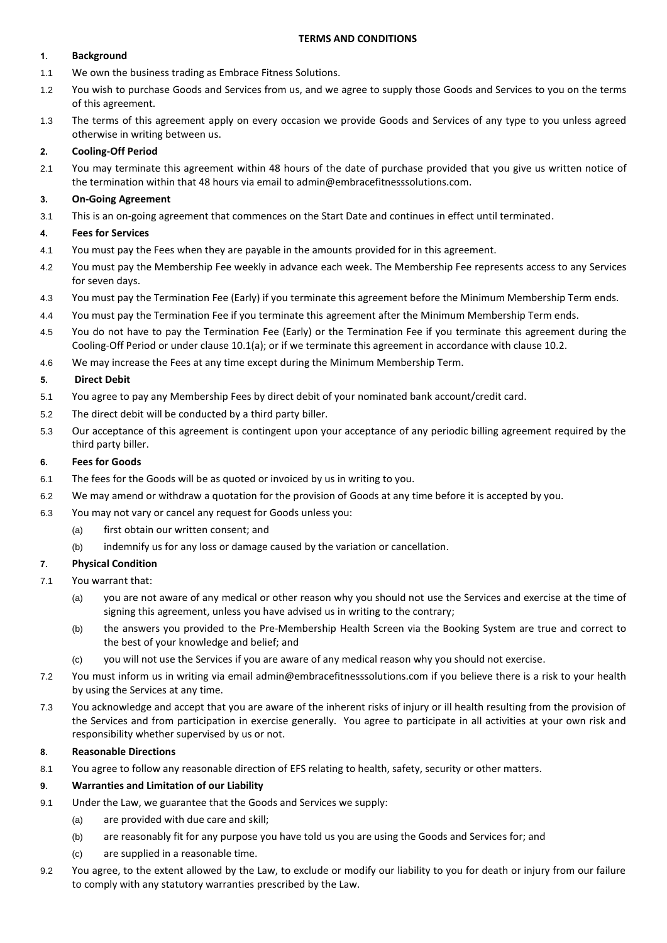#### **TERMS AND CONDITIONS**

#### **1. Background**

- 1.1 We own the business trading as Embrace Fitness Solutions.
- 1.2 You wish to purchase Goods and Services from us, and we agree to supply those Goods and Services to you on the terms of this agreement.
- 1.3 The terms of this agreement apply on every occasion we provide Goods and Services of any type to you unless agreed otherwise in writing between us.

### **2. Cooling-Off Period**

2.1 You may terminate this agreement within 48 hours of the date of purchase provided that you give us written notice of the termination within that 48 hours via email to admin@embracefitnesssolutions.com.

### **3. On-Going Agreement**

3.1 This is an on-going agreement that commences on the Start Date and continues in effect until terminated.

### **4. Fees for Services**

- 4.1 You must pay the Fees when they are payable in the amounts provided for in this agreement.
- 4.2 You must pay the Membership Fee weekly in advance each week. The Membership Fee represents access to any Services for seven days.
- 4.3 You must pay the Termination Fee (Early) if you terminate this agreement before the Minimum Membership Term ends.
- 4.4 You must pay the Termination Fee if you terminate this agreement after the Minimum Membership Term ends.
- 4.5 You do not have to pay the Termination Fee (Early) or the Termination Fee if you terminate this agreement during the Cooling-Off Period or under clause 10.1(a); or if we terminate this agreement in accordance with clause 10.2.
- 4.6 We may increase the Fees at any time except during the Minimum Membership Term.

### **5. Direct Debit**

- 5.1 You agree to pay any Membership Fees by direct debit of your nominated bank account/credit card.
- 5.2 The direct debit will be conducted by a third party biller.
- 5.3 Our acceptance of this agreement is contingent upon your acceptance of any periodic billing agreement required by the third party biller.

### **6. Fees for Goods**

- 6.1 The fees for the Goods will be as quoted or invoiced by us in writing to you.
- 6.2 We may amend or withdraw a quotation for the provision of Goods at any time before it is accepted by you.
- 6.3 You may not vary or cancel any request for Goods unless you:
	- (a) first obtain our written consent; and
	- (b) indemnify us for any loss or damage caused by the variation or cancellation.

## **7. Physical Condition**

- 7.1 You warrant that:
	- (a) you are not aware of any medical or other reason why you should not use the Services and exercise at the time of signing this agreement, unless you have advised us in writing to the contrary;
	- (b) the answers you provided to the Pre-Membership Health Screen via the Booking System are true and correct to the best of your knowledge and belief; and
	- (c) you will not use the Services if you are aware of any medical reason why you should not exercise.
- 7.2 You must inform us in writing via email admin@embracefitnesssolutions.com if you believe there is a risk to your health by using the Services at any time.
- 7.3 You acknowledge and accept that you are aware of the inherent risks of injury or ill health resulting from the provision of the Services and from participation in exercise generally. You agree to participate in all activities at your own risk and responsibility whether supervised by us or not.

## **8. Reasonable Directions**

8.1 You agree to follow any reasonable direction of EFS relating to health, safety, security or other matters.

#### **9. Warranties and Limitation of our Liability**

- 9.1 Under the Law, we guarantee that the Goods and Services we supply:
	- (a) are provided with due care and skill;
	- (b) are reasonably fit for any purpose you have told us you are using the Goods and Services for; and
	- (c) are supplied in a reasonable time.
- 9.2 You agree, to the extent allowed by the Law, to exclude or modify our liability to you for death or injury from our failure to comply with any statutory warranties prescribed by the Law.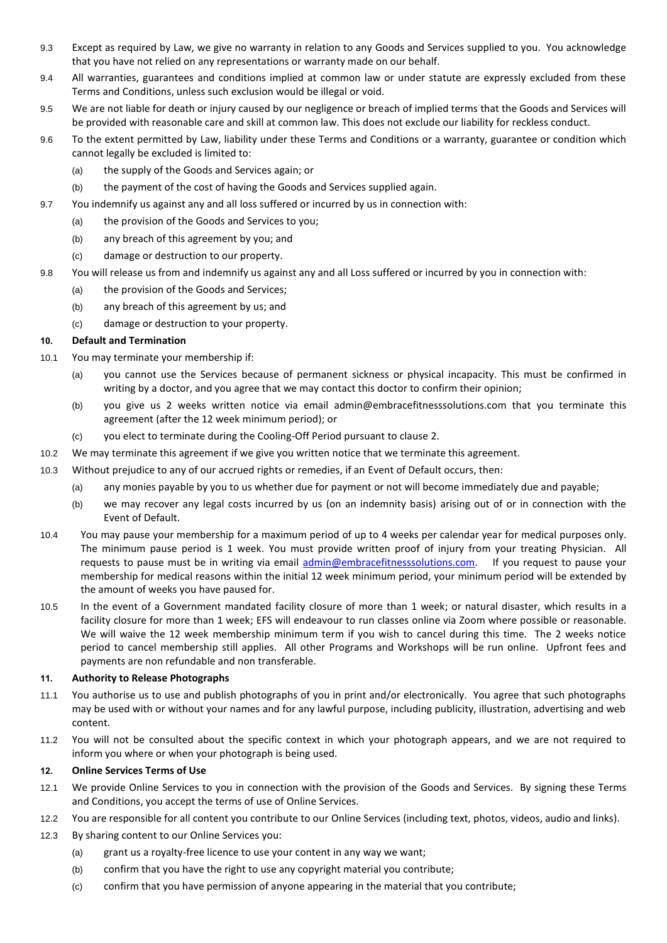- 9.3 Except as required by Law, we give no warranty in relation to any Goods and Services supplied to you. You acknowledge that you have not relied on any representations or warranty made on our behalf.
- 9.4 All warranties, guarantees and conditions implied at common law or under statute are expressly excluded from these Terms and Conditions, unless such exclusion would be illegal or void.
- 9.5 We are not liable for death or injury caused by our negligence or breach of implied terms that the Goods and Services will be provided with reasonable care and skill at common law. This does not exclude our liability for reckless conduct.
- 9.6 To the extent permitted by Law, liability under these Terms and Conditions or a warranty, guarantee or condition which cannot legally be excluded is limited to:
	- (a) the supply of the Goods and Services again; or
	- (b) the payment of the cost of having the Goods and Services supplied again.
- 9.7 You indemnify us against any and all loss suffered or incurred by us in connection with:
	- (a) the provision of the Goods and Services to you;
	- (b) any breach of this agreement by you; and
	- (c) damage or destruction to our property.
- 9.8 You will release us from and indemnify us against any and all Loss suffered or incurred by you in connection with:
	- (a) the provision of the Goods and Services;
	- (b) any breach of this agreement by us; and
	- (c) damage or destruction to your property.

### **10. Default and Termination**

- 10.1 You may terminate your membership if:
	- (a) you cannot use the Services because of permanent sickness or physical incapacity. This must be confirmed in writing by a doctor, and you agree that we may contact this doctor to confirm their opinion;
	- (b) you give us 2 weeks written notice via email admin@embracefitnesssolutions.com that you terminate this agreement (after the 12 week minimum period); or
	- (c) you elect to terminate during the Cooling-Off Period pursuant to clause 2.
- 10.2 We may terminate this agreement if we give you written notice that we terminate this agreement.
- 10.3 Without prejudice to any of our accrued rights or remedies, if an Event of Default occurs, then:
	- (a) any monies payable by you to us whether due for payment or not will become immediately due and payable;
	- (b) we may recover any legal costs incurred by us (on an indemnity basis) arising out of or in connection with the Event of Default.
- 10.4 You may pause your membership for a maximum period of up to 4 weeks per calendar year for medical purposes only. The minimum pause period is 1 week. You must provide written proof of injury from your treating Physician. All requests to pause must be in writing via email [admin@embracefitnesssolutions.com.](mailto:admin@embracefitnesssolutions.com) If you request to pause your membership for medical reasons within the initial 12 week minimum period, your minimum period will be extended by the amount of weeks you have paused for.
- 10.5 In the event of a Government mandated facility closure of more than 1 week; or natural disaster, which results in a facility closure for more than 1 week; EFS will endeavour to run classes online via Zoom where possible or reasonable. We will waive the 12 week membership minimum term if you wish to cancel during this time. The 2 weeks notice period to cancel membership still applies. All other Programs and Workshops will be run online. Upfront fees and payments are non refundable and non transferable.

#### **11. Authority to Release Photographs**

- 11.1 You authorise us to use and publish photographs of you in print and/or electronically. You agree that such photographs may be used with or without your names and for any lawful purpose, including publicity, illustration, advertising and web content.
- 11.2 You will not be consulted about the specific context in which your photograph appears, and we are not required to inform you where or when your photograph is being used.

#### **12. Online Services Terms of Use**

- 12.1 We provide Online Services to you in connection with the provision of the Goods and Services. By signing these Terms and Conditions, you accept the terms of use of Online Services.
- 12.2 You are responsible for all content you contribute to our Online Services (including text, photos, videos, audio and links).
- 12.3 By sharing content to our Online Services you:
	- (a) grant us a royalty-free licence to use your content in any way we want;
	- (b) confirm that you have the right to use any copyright material you contribute;
	- (c) confirm that you have permission of anyone appearing in the material that you contribute;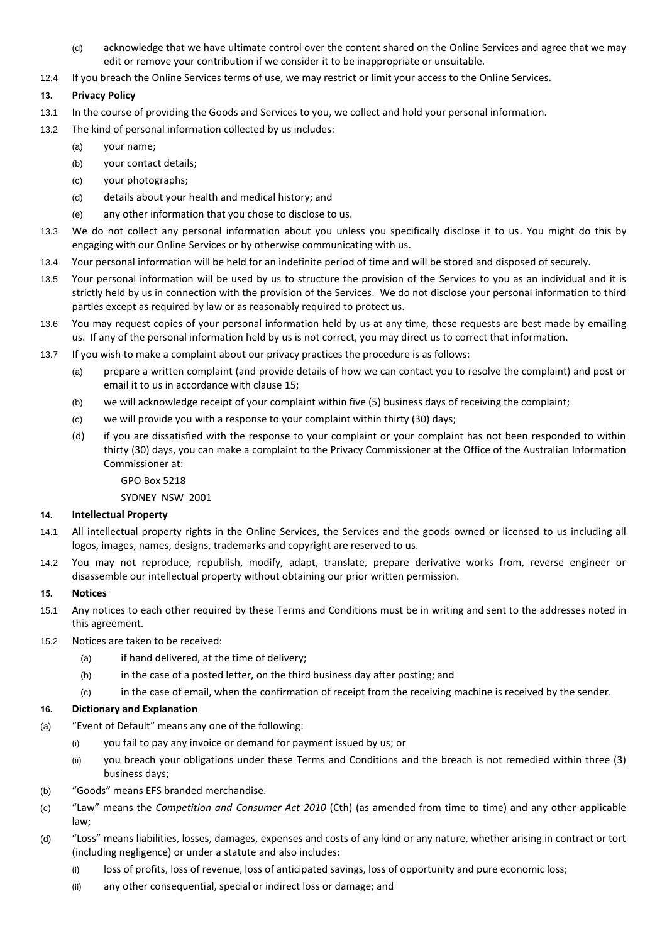- (d) acknowledge that we have ultimate control over the content shared on the Online Services and agree that we may edit or remove your contribution if we consider it to be inappropriate or unsuitable.
- 12.4 If you breach the Online Services terms of use, we may restrict or limit your access to the Online Services.

## **13. Privacy Policy**

- 13.1 In the course of providing the Goods and Services to you, we collect and hold your personal information.
- 13.2 The kind of personal information collected by us includes:
	- (a) your name;
	- (b) your contact details;
	- (c) your photographs;
	- (d) details about your health and medical history; and
	- (e) any other information that you chose to disclose to us.
- 13.3 We do not collect any personal information about you unless you specifically disclose it to us. You might do this by engaging with our Online Services or by otherwise communicating with us.
- 13.4 Your personal information will be held for an indefinite period of time and will be stored and disposed of securely.
- 13.5 Your personal information will be used by us to structure the provision of the Services to you as an individual and it is strictly held by us in connection with the provision of the Services. We do not disclose your personal information to third parties except as required by law or as reasonably required to protect us.
- 13.6 You may request copies of your personal information held by us at any time, these requests are best made by emailing us. If any of the personal information held by us is not correct, you may direct us to correct that information.
- 13.7 If you wish to make a complaint about our privacy practices the procedure is as follows:
	- (a) prepare a written complaint (and provide details of how we can contact you to resolve the complaint) and post or email it to us in accordance with clause 15;
	- (b) we will acknowledge receipt of your complaint within five (5) business days of receiving the complaint;
	- (c) we will provide you with a response to your complaint within thirty (30) days;
	- (d) if you are dissatisfied with the response to your complaint or your complaint has not been responded to within thirty (30) days, you can make a complaint to the Privacy Commissioner at the Office of the Australian Information Commissioner at:
		- GPO Box 5218

SYDNEY NSW 2001

#### **14. Intellectual Property**

- 14.1 All intellectual property rights in the Online Services, the Services and the goods owned or licensed to us including all logos, images, names, designs, trademarks and copyright are reserved to us.
- 14.2 You may not reproduce, republish, modify, adapt, translate, prepare derivative works from, reverse engineer or disassemble our intellectual property without obtaining our prior written permission.

#### **15. Notices**

- 15.1 Any notices to each other required by these Terms and Conditions must be in writing and sent to the addresses noted in this agreement.
- 15.2 Notices are taken to be received:
	- (a) if hand delivered, at the time of delivery;
	- (b) in the case of a posted letter, on the third business day after posting; and
	- (c) in the case of email, when the confirmation of receipt from the receiving machine is received by the sender.

#### **16. Dictionary and Explanation**

- (a) "Event of Default" means any one of the following:
	- (i) you fail to pay any invoice or demand for payment issued by us; or
	- (ii) you breach your obligations under these Terms and Conditions and the breach is not remedied within three (3) business days;
- (b) "Goods" means EFS branded merchandise.
- (c) "Law" means the *Competition and Consumer Act 2010* (Cth) (as amended from time to time) and any other applicable law;
- (d) "Loss" means liabilities, losses, damages, expenses and costs of any kind or any nature, whether arising in contract or tort (including negligence) or under a statute and also includes:
	- (i) loss of profits, loss of revenue, loss of anticipated savings, loss of opportunity and pure economic loss;
	- (ii) any other consequential, special or indirect loss or damage; and